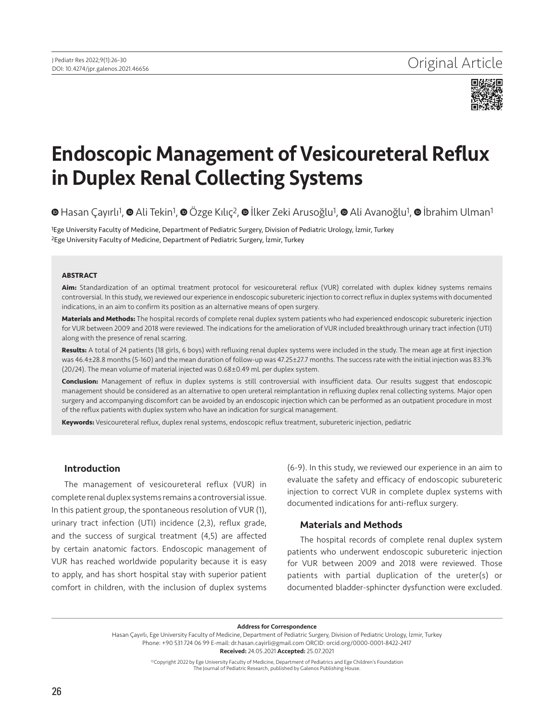

# Endoscopic Management of Vesicoureteral Reflux in Duplex Renal Collecting Systems

⊕Hasan Çayırlı<sup>1</sup>[,](https://orcid.org/0000-0002-0058-1891) ⊕ Ali Tekin<sup>1</sup>, ⊕ Özge Kılıç<sup>2</sup>, ⊕ İlker Zeki Arusoğlu<sup>1</sup>, ⊕ Ali Avanoğlu<sup>1</sup>, ⊕ İbrahim Ulman<sup>1</sup>

1Ege University Faculty of Medicine, Department of Pediatric Surgery, Division of Pediatric Urology, İzmir, Turkey 2Ege University Faculty of Medicine, Department of Pediatric Surgery, İzmir, Turkey

#### **ABSTRACT**

**Aim:** Standardization of an optimal treatment protocol for vesicoureteral reflux (VUR) correlated with duplex kidney systems remains controversial. In this study, we reviewed our experience in endoscopic subureteric injection to correct reflux in duplex systems with documented indications, in an aim to confirm its position as an alternative means of open surgery.

**Materials and Methods:** The hospital records of complete renal duplex system patients who had experienced endoscopic subureteric injection for VUR between 2009 and 2018 were reviewed. The indications for the amelioration of VUR included breakthrough urinary tract infection (UTI) along with the presence of renal scarring.

**Results:** A total of 24 patients (18 girls, 6 boys) with refluxing renal duplex systems were included in the study. The mean age at first injection was 46.4±28.8 months (5-160) and the mean duration of follow-up was 47.25±27.7 months. The success rate with the initial injection was 83.3% (20/24). The mean volume of material injected was 0.68±0.49 mL per duplex system.

**Conclusion:** Management of reflux in duplex systems is still controversial with insufficient data. Our results suggest that endoscopic management should be considered as an alternative to open ureteral reimplantation in refluxing duplex renal collecting systems. Major open surgery and accompanying discomfort can be avoided by an endoscopic injection which can be performed as an outpatient procedure in most of the reflux patients with duplex system who have an indication for surgical management.

**Keywords:** Vesicoureteral reflux, duplex renal systems, endoscopic reflux treatment, subureteric injection, pediatric

### Introduction

The management of vesicoureteral reflux (VUR) in complete renal duplex systems remains a controversial issue. In this patient group, the spontaneous resolution of VUR (1), urinary tract infection (UTI) incidence (2,3), reflux grade, and the success of surgical treatment (4,5) are affected by certain anatomic factors. Endoscopic management of VUR has reached worldwide popularity because it is easy to apply, and has short hospital stay with superior patient comfort in children, with the inclusion of duplex systems (6-9). In this study, we reviewed our experience in an aim to evaluate the safety and efficacy of endoscopic subureteric injection to correct VUR in complete duplex systems with documented indications for anti-reflux surgery.

#### Materials and Methods

The hospital records of complete renal duplex system patients who underwent endoscopic subureteric injection for VUR between 2009 and 2018 were reviewed. Those patients with partial duplication of the ureter(s) or documented bladder-sphincter dysfunction were excluded.

Address for Correspondence

Hasan Çayırlı, Ege University Faculty of Medicine, Department of Pediatric Surgery, Division of Pediatric Urology, İzmir, Turkey Phone: +90 531 724 06 99 E-mail: dr.hasan.cayirli@gmail.com ORCID: orcid.org/0000-0001-8422-2417 Received: 24.05.2021 Accepted: 25.07.2021

> ©Copyright 2022 by Ege University Faculty of Medicine, Department of Pediatrics and Ege Children's Foundation The Journal of Pediatric Research, published by Galenos Publishing House.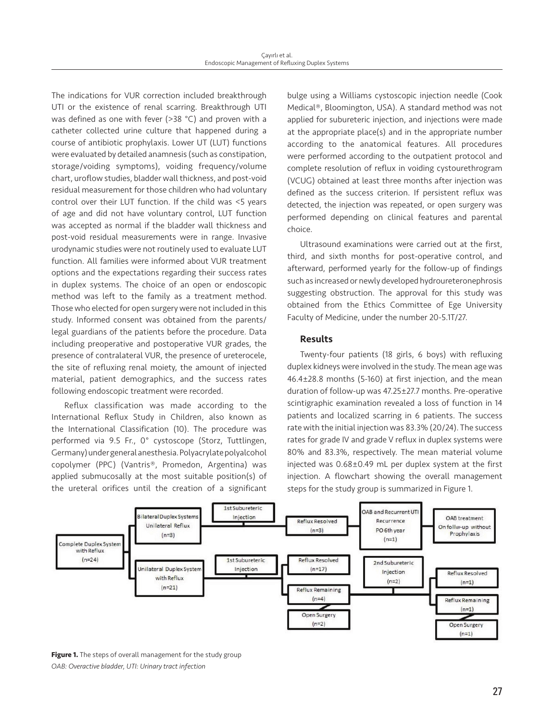The indications for VUR correction included breakthrough UTI or the existence of renal scarring. Breakthrough UTI was defined as one with fever (>38 °C) and proven with a catheter collected urine culture that happened during a course of antibiotic prophylaxis. Lower UT (LUT) functions were evaluated by detailed anamnesis (such as constipation, storage/voiding symptoms), voiding frequency/volume chart, uroflow studies, bladder wall thickness, and post-void residual measurement for those children who had voluntary control over their LUT function. If the child was <5 years of age and did not have voluntary control, LUT function was accepted as normal if the bladder wall thickness and post-void residual measurements were in range. Invasive urodynamic studies were not routinely used to evaluate LUT function. All families were informed about VUR treatment options and the expectations regarding their success rates in duplex systems. The choice of an open or endoscopic method was left to the family as a treatment method. Those who elected for open surgery were not included in this study. Informed consent was obtained from the parents/ legal guardians of the patients before the procedure. Data including preoperative and postoperative VUR grades, the presence of contralateral VUR, the presence of ureterocele, the site of refluxing renal moiety, the amount of injected material, patient demographics, and the success rates following endoscopic treatment were recorded.

Reflux classification was made according to the International Reflux Study in Children, also known as the International Classification (10). The procedure was performed via 9.5 Fr., 0° cystoscope (Storz, Tuttlingen, Germany) under general anesthesia. Polyacrylate polyalcohol copolymer (PPC) (Vantris®, Promedon, Argentina) was applied submucosally at the most suitable position(s) of the ureteral orifices until the creation of a significant

bulge using a Williams cystoscopic injection needle (Cook Medical®, Bloomington, USA). A standard method was not applied for subureteric injection, and injections were made at the appropriate place(s) and in the appropriate number according to the anatomical features. All procedures were performed according to the outpatient protocol and complete resolution of reflux in voiding cystourethrogram (VCUG) obtained at least three months after injection was defined as the success criterion. If persistent reflux was detected, the injection was repeated, or open surgery was performed depending on clinical features and parental choice.

Ultrasound examinations were carried out at the first, third, and sixth months for post-operative control, and afterward, performed yearly for the follow-up of findings such as increased or newly developed hydroureteronephrosis suggesting obstruction. The approval for this study was obtained from the Ethics Committee of Ege University Faculty of Medicine, under the number 20-5.1T/27.

## Results

Twenty-four patients (18 girls, 6 boys) with refluxing duplex kidneys were involved in the study. The mean age was 46.4±28.8 months (5-160) at first injection, and the mean duration of follow-up was 47.25±27.7 months. Pre-operative scintigraphic examination revealed a loss of function in 14 patients and localized scarring in 6 patients. The success rate with the initial injection was 83.3% (20/24). The success rates for grade IV and grade V reflux in duplex systems were 80% and 83.3%, respectively. The mean material volume injected was 0.68±0.49 mL per duplex system at the first injection. A flowchart showing the overall management steps for the study group is summarized in Figure 1.



**Figure 1.** The steps of overall management for the study group *OAB: Overactive bladder, UTI: Urinary tract infection*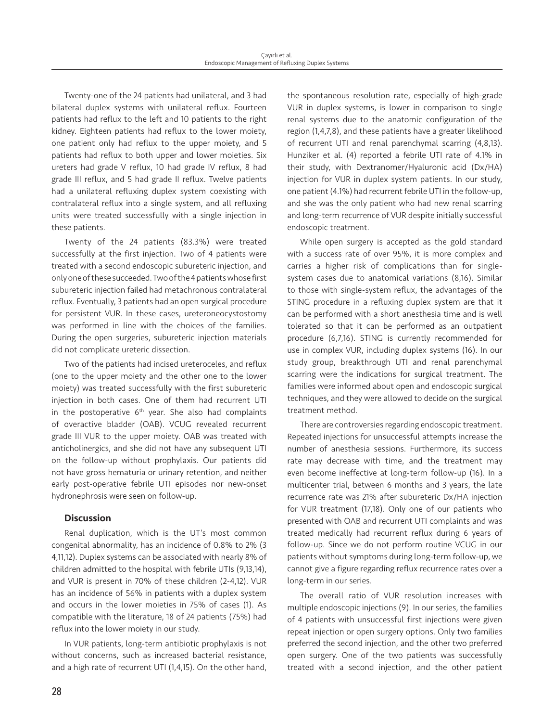Twenty-one of the 24 patients had unilateral, and 3 had bilateral duplex systems with unilateral reflux. Fourteen patients had reflux to the left and 10 patients to the right kidney. Eighteen patients had reflux to the lower moiety, one patient only had reflux to the upper moiety, and 5 patients had reflux to both upper and lower moieties. Six ureters had grade V reflux, 10 had grade IV reflux, 8 had grade III reflux, and 5 had grade II reflux. Twelve patients had a unilateral refluxing duplex system coexisting with contralateral reflux into a single system, and all refluxing units were treated successfully with a single injection in these patients.

Twenty of the 24 patients (83.3%) were treated successfully at the first injection. Two of 4 patients were treated with a second endoscopic subureteric injection, and only one of these succeeded. Two of the 4 patients whose first subureteric injection failed had metachronous contralateral reflux. Eventually, 3 patients had an open surgical procedure for persistent VUR. In these cases, ureteroneocystostomy was performed in line with the choices of the families. During the open surgeries, subureteric injection materials did not complicate ureteric dissection.

Two of the patients had incised ureteroceles, and reflux (one to the upper moiety and the other one to the lower moiety) was treated successfully with the first subureteric injection in both cases. One of them had recurrent UTI in the postoperative  $6<sup>th</sup>$  year. She also had complaints of overactive bladder (OAB). VCUG revealed recurrent grade III VUR to the upper moiety. OAB was treated with anticholinergics, and she did not have any subsequent UTI on the follow-up without prophylaxis. Our patients did not have gross hematuria or urinary retention, and neither early post-operative febrile UTI episodes nor new-onset hydronephrosis were seen on follow-up.

## **Discussion**

Renal duplication, which is the UT's most common congenital abnormality, has an incidence of 0.8% to 2% (3 4,11,12). Duplex systems can be associated with nearly 8% of children admitted to the hospital with febrile UTIs (9,13,14), and VUR is present in 70% of these children (2-4,12). VUR has an incidence of 56% in patients with a duplex system and occurs in the lower moieties in 75% of cases (1). As compatible with the literature, 18 of 24 patients (75%) had reflux into the lower moiety in our study.

In VUR patients, long-term antibiotic prophylaxis is not without concerns, such as increased bacterial resistance, and a high rate of recurrent UTI (1,4,15). On the other hand,

the spontaneous resolution rate, especially of high-grade VUR in duplex systems, is lower in comparison to single renal systems due to the anatomic configuration of the region (1,4,7,8), and these patients have a greater likelihood of recurrent UTI and renal parenchymal scarring (4,8,13). Hunziker et al. (4) reported a febrile UTI rate of 4.1% in their study, with Dextranomer/Hyaluronic acid (Dx/HA) injection for VUR in duplex system patients. In our study, one patient (4.1%) had recurrent febrile UTI in the follow-up, and she was the only patient who had new renal scarring and long-term recurrence of VUR despite initially successful endoscopic treatment.

While open surgery is accepted as the gold standard with a success rate of over 95%, it is more complex and carries a higher risk of complications than for singlesystem cases due to anatomical variations (8,16). Similar to those with single-system reflux, the advantages of the STING procedure in a refluxing duplex system are that it can be performed with a short anesthesia time and is well tolerated so that it can be performed as an outpatient procedure (6,7,16). STING is currently recommended for use in complex VUR, including duplex systems (16). In our study group, breakthrough UTI and renal parenchymal scarring were the indications for surgical treatment. The families were informed about open and endoscopic surgical techniques, and they were allowed to decide on the surgical treatment method.

There are controversies regarding endoscopic treatment. Repeated injections for unsuccessful attempts increase the number of anesthesia sessions. Furthermore, its success rate may decrease with time, and the treatment may even become ineffective at long-term follow-up (16). In a multicenter trial, between 6 months and 3 years, the late recurrence rate was 21% after subureteric Dx/HA injection for VUR treatment (17,18). Only one of our patients who presented with OAB and recurrent UTI complaints and was treated medically had recurrent reflux during 6 years of follow-up. Since we do not perform routine VCUG in our patients without symptoms during long-term follow-up, we cannot give a figure regarding reflux recurrence rates over a long-term in our series.

The overall ratio of VUR resolution increases with multiple endoscopic injections (9). In our series, the families of 4 patients with unsuccessful first injections were given repeat injection or open surgery options. Only two families preferred the second injection, and the other two preferred open surgery. One of the two patients was successfully treated with a second injection, and the other patient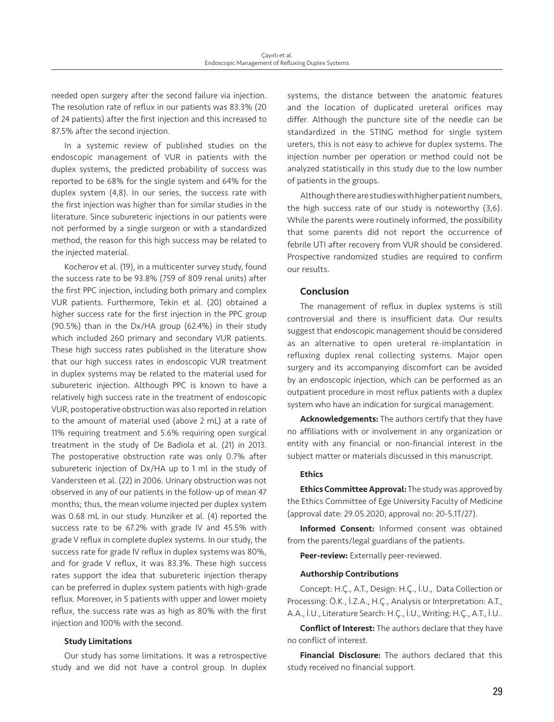needed open surgery after the second failure via injection. The resolution rate of reflux in our patients was 83.3% (20 of 24 patients) after the first injection and this increased to 87.5% after the second injection.

In a systemic review of published studies on the endoscopic management of VUR in patients with the duplex systems, the predicted probability of success was reported to be 68% for the single system and 64% for the duplex system (4,8). In our series, the success rate with the first injection was higher than for similar studies in the literature. Since subureteric injections in our patients were not performed by a single surgeon or with a standardized method, the reason for this high success may be related to the injected material.

Kocherov et al. (19), in a multicenter survey study, found the success rate to be 93.8% (759 of 809 renal units) after the first PPC injection, including both primary and complex VUR patients. Furthermore, Tekin et al. (20) obtained a higher success rate for the first injection in the PPC group (90.5%) than in the Dx/HA group (62.4%) in their study which included 260 primary and secondary VUR patients. These high success rates published in the literature show that our high success rates in endoscopic VUR treatment in duplex systems may be related to the material used for subureteric injection. Although PPC is known to have a relatively high success rate in the treatment of endoscopic VUR, postoperative obstruction was also reported in relation to the amount of material used (above 2 mL) at a rate of 11% requiring treatment and 5.6% requiring open surgical treatment in the study of De Badiola et al. (21) in 2013. The postoperative obstruction rate was only 0.7% after subureteric injection of Dx/HA up to 1 ml in the study of Vandersteen et al. (22) in 2006. Urinary obstruction was not observed in any of our patients in the follow-up of mean 47 months; thus, the mean volume injected per duplex system was 0.68 mL in our study. Hunziker et al. (4) reported the success rate to be 67.2% with grade IV and 45.5% with grade V reflux in complete duplex systems. In our study, the success rate for grade IV reflux in duplex systems was 80%, and for grade V reflux, it was 83.3%. These high success rates support the idea that subureteric injection therapy can be preferred in duplex system patients with high-grade reflux. Moreover, in 5 patients with upper and lower moiety reflux, the success rate was as high as 80% with the first injection and 100% with the second.

#### Study Limitations

Our study has some limitations. It was a retrospective study and we did not have a control group. In duplex

systems, the distance between the anatomic features and the location of duplicated ureteral orifices may differ. Although the puncture site of the needle can be standardized in the STING method for single system ureters, this is not easy to achieve for duplex systems. The injection number per operation or method could not be analyzed statistically in this study due to the low number of patients in the groups.

Although there are studies with higher patient numbers, the high success rate of our study is noteworthy (3,6). While the parents were routinely informed, the possibility that some parents did not report the occurrence of febrile UTI after recovery from VUR should be considered. Prospective randomized studies are required to confirm our results.

#### Conclusion

The management of reflux in duplex systems is still controversial and there is insufficient data. Our results suggest that endoscopic management should be considered as an alternative to open ureteral re-implantation in refluxing duplex renal collecting systems. Major open surgery and its accompanying discomfort can be avoided by an endoscopic injection, which can be performed as an outpatient procedure in most reflux patients with a duplex system who have an indication for surgical management.

Acknowledgements: The authors certify that they have no affiliations with or involvement in any organization or entity with any financial or non-financial interest in the subject matter or materials discussed in this manuscript.

#### **Ethics**

Ethics Committee Approval: The study was approved by the Ethics Committee of Ege University Faculty of Medicine (approval date: 29.05.2020; approval no: 20-5.1T/27).

Informed Consent: Informed consent was obtained from the parents/legal guardians of the patients.

Peer-review: Externally peer-reviewed.

#### Authorship Contributions

Concept: H.Ç., A.T., Design: H.Ç., İ.U., Data Collection or Processing: Ö.K., İ.Z.A., H.Ç., Analysis or Interpretation: A.T., A.A., İ.U., Literature Search: H.Ç., İ.U., Writing: H.Ç., A.T., İ.U..

Conflict of Interest: The authors declare that they have no conflict of interest.

Financial Disclosure: The authors declared that this study received no financial support.